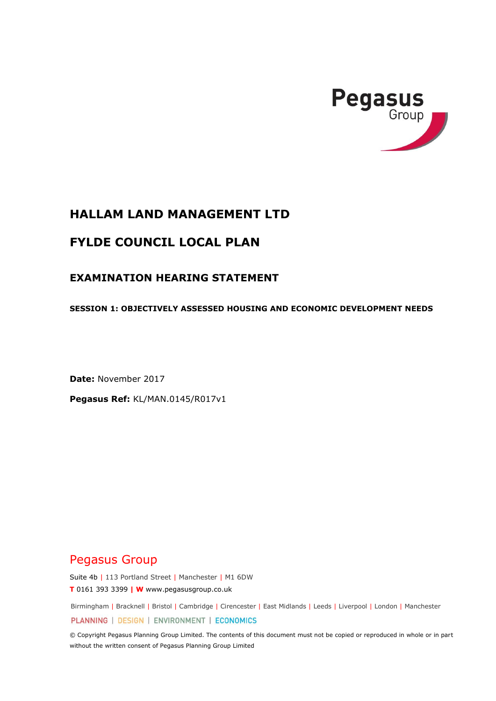

## **HALLAM LAND MANAGEMENT LTD**

# **FYLDE COUNCIL LOCAL PLAN**

## **EXAMINATION HEARING STATEMENT**

**SESSION 1: OBJECTIVELY ASSESSED HOUSING AND ECONOMIC DEVELOPMENT NEEDS**

**Date:** November 2017

**Pegasus Ref:** KL/MAN.0145/R017v1

# Pegasus Group

Suite 4b | 113 Portland Street | Manchester | M1 6DW **T** 0161 393 3399 **| W** www.pegasusgroup.co.uk

Birmingham | Bracknell | Bristol | Cambridge | Cirencester | East Midlands | Leeds | Liverpool | London | Manchester

PLANNING | DESIGN | ENVIRONMENT | ECONOMICS

© Copyright Pegasus Planning Group Limited. The contents of this document must not be copied or reproduced in whole or in part without the written consent of Pegasus Planning Group Limited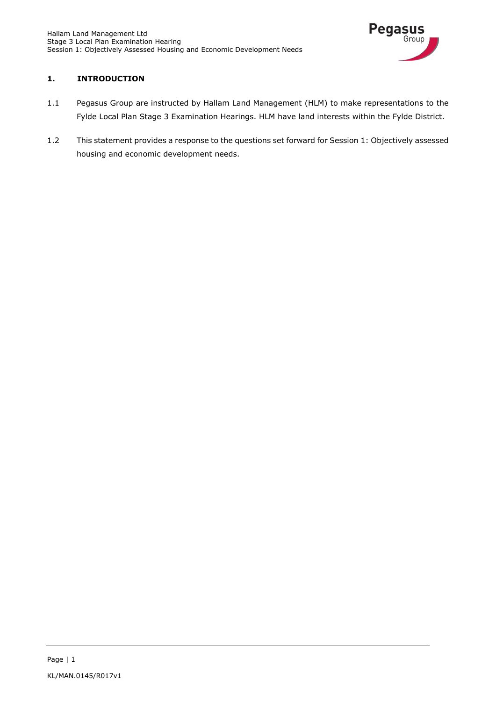

### **1. INTRODUCTION**

- 1.1 Pegasus Group are instructed by Hallam Land Management (HLM) to make representations to the Fylde Local Plan Stage 3 Examination Hearings. HLM have land interests within the Fylde District.
- 1.2 This statement provides a response to the questions set forward for Session 1: Objectively assessed housing and economic development needs.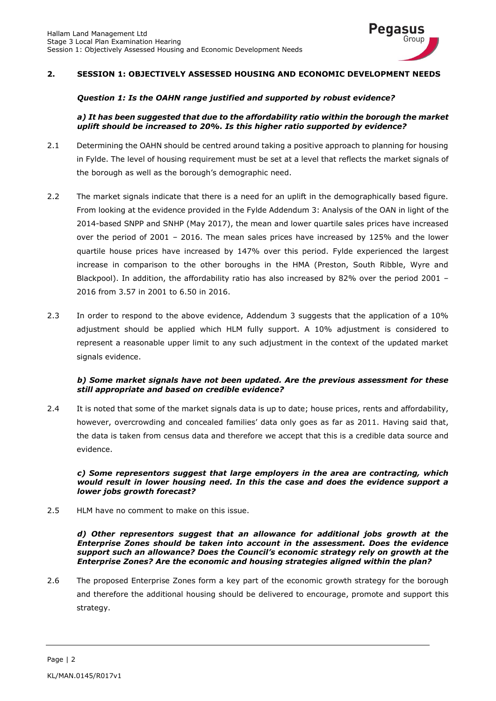

#### **2. SESSION 1: OBJECTIVELY ASSESSED HOUSING AND ECONOMIC DEVELOPMENT NEEDS**

#### *Question 1: Is the OAHN range justified and supported by robust evidence?*

#### *a) It has been suggested that due to the affordability ratio within the borough the market uplift should be increased to 20%. Is this higher ratio supported by evidence?*

- 2.1 Determining the OAHN should be centred around taking a positive approach to planning for housing in Fylde. The level of housing requirement must be set at a level that reflects the market signals of the borough as well as the borough's demographic need.
- 2.2 The market signals indicate that there is a need for an uplift in the demographically based figure. From looking at the evidence provided in the Fylde Addendum 3: Analysis of the OAN in light of the 2014-based SNPP and SNHP (May 2017), the mean and lower quartile sales prices have increased over the period of 2001 – 2016. The mean sales prices have increased by 125% and the lower quartile house prices have increased by 147% over this period. Fylde experienced the largest increase in comparison to the other boroughs in the HMA (Preston, South Ribble, Wyre and Blackpool). In addition, the affordability ratio has also increased by 82% over the period 2001 -2016 from 3.57 in 2001 to 6.50 in 2016.
- 2.3 In order to respond to the above evidence, Addendum 3 suggests that the application of a 10% adjustment should be applied which HLM fully support. A 10% adjustment is considered to represent a reasonable upper limit to any such adjustment in the context of the updated market signals evidence.

#### *b) Some market signals have not been updated. Are the previous assessment for these still appropriate and based on credible evidence?*

2.4 It is noted that some of the market signals data is up to date; house prices, rents and affordability, however, overcrowding and concealed families' data only goes as far as 2011. Having said that, the data is taken from census data and therefore we accept that this is a credible data source and evidence.

#### *c) Some representors suggest that large employers in the area are contracting, which would result in lower housing need. In this the case and does the evidence support a lower jobs growth forecast?*

2.5 HLM have no comment to make on this issue.

#### *d) Other representors suggest that an allowance for additional jobs growth at the Enterprise Zones should be taken into account in the assessment. Does the evidence support such an allowance? Does the Council's economic strategy rely on growth at the Enterprise Zones? Are the economic and housing strategies aligned within the plan?*

2.6 The proposed Enterprise Zones form a key part of the economic growth strategy for the borough and therefore the additional housing should be delivered to encourage, promote and support this strategy.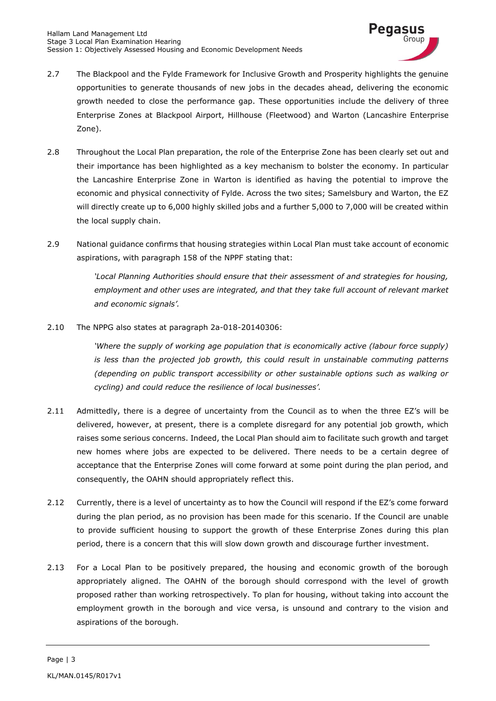

- 2.7 The Blackpool and the Fylde Framework for Inclusive Growth and Prosperity highlights the genuine opportunities to generate thousands of new jobs in the decades ahead, delivering the economic growth needed to close the performance gap. These opportunities include the delivery of three Enterprise Zones at Blackpool Airport, Hillhouse (Fleetwood) and Warton (Lancashire Enterprise Zone).
- 2.8 Throughout the Local Plan preparation, the role of the Enterprise Zone has been clearly set out and their importance has been highlighted as a key mechanism to bolster the economy. In particular the Lancashire Enterprise Zone in Warton is identified as having the potential to improve the economic and physical connectivity of Fylde. Across the two sites; Samelsbury and Warton, the EZ will directly create up to 6,000 highly skilled jobs and a further 5,000 to 7,000 will be created within the local supply chain.
- 2.9 National guidance confirms that housing strategies within Local Plan must take account of economic aspirations, with paragraph 158 of the NPPF stating that:

*'Local Planning Authorities should ensure that their assessment of and strategies for housing, employment and other uses are integrated, and that they take full account of relevant market and economic signals'.* 

2.10 The NPPG also states at paragraph 2a-018-20140306:

*'Where the supply of working age population that is economically active (labour force supply) is less than the projected job growth, this could result in unstainable commuting patterns (depending on public transport accessibility or other sustainable options such as walking or cycling) and could reduce the resilience of local businesses'.* 

- 2.11 Admittedly, there is a degree of uncertainty from the Council as to when the three EZ's will be delivered, however, at present, there is a complete disregard for any potential job growth, which raises some serious concerns. Indeed, the Local Plan should aim to facilitate such growth and target new homes where jobs are expected to be delivered. There needs to be a certain degree of acceptance that the Enterprise Zones will come forward at some point during the plan period, and consequently, the OAHN should appropriately reflect this.
- 2.12 Currently, there is a level of uncertainty as to how the Council will respond if the EZ's come forward during the plan period, as no provision has been made for this scenario. If the Council are unable to provide sufficient housing to support the growth of these Enterprise Zones during this plan period, there is a concern that this will slow down growth and discourage further investment.
- 2.13 For a Local Plan to be positively prepared, the housing and economic growth of the borough appropriately aligned. The OAHN of the borough should correspond with the level of growth proposed rather than working retrospectively. To plan for housing, without taking into account the employment growth in the borough and vice versa, is unsound and contrary to the vision and aspirations of the borough.